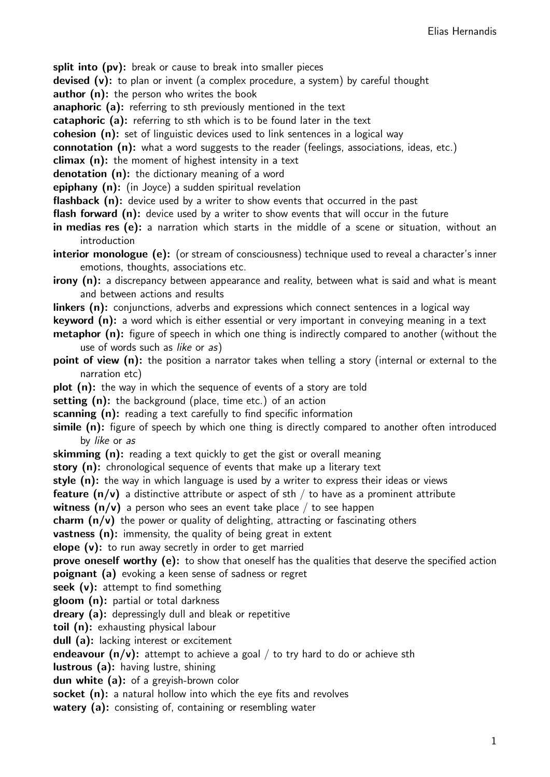split into (pv): break or cause to break into smaller pieces

**devised (v):** to plan or invent (a complex procedure, a system) by careful thought

author (n): the person who writes the book

anaphoric (a): referring to sth previously mentioned in the text

cataphoric (a): referring to sth which is to be found later in the text

cohesion (n): set of linguistic devices used to link sentences in a logical way

connotation (n): what a word suggests to the reader (feelings, associations, ideas, etc.)

climax  $(n)$ : the moment of highest intensity in a text

denotation (n): the dictionary meaning of a word

epiphany (n): (in Joyce) a sudden spiritual revelation

flashback (n): device used by a writer to show events that occurred in the past

**flash forward (n):** device used by a writer to show events that will occur in the future

in medias res (e): a narration which starts in the middle of a scene or situation, without an introduction

interior monologue (e): (or stream of consciousness) technique used to reveal a character's inner emotions, thoughts, associations etc.

irony (n): a discrepancy between appearance and reality, between what is said and what is meant and between actions and results

linkers (n): conjunctions, adverbs and expressions which connect sentences in a logical way

keyword (n): a word which is either essential or very important in conveying meaning in a text

**metaphor (n):** figure of speech in which one thing is indirectly compared to another (without the use of words such as like or as)

point of view (n): the position a narrator takes when telling a story (internal or external to the narration etc)

**plot (n):** the way in which the sequence of events of a story are told

setting (n): the background (place, time etc.) of an action

scanning (n): reading a text carefully to find specific information

**simile (n):** figure of speech by which one thing is directly compared to another often introduced by like or as

skimming (n): reading a text quickly to get the gist or overall meaning

story (n): chronological sequence of events that make up a literary text

style (n): the way in which language is used by a writer to express their ideas or views

**feature (n/v)** a distinctive attribute or aspect of sth / to have as a prominent attribute

**witness (n/v)** a person who sees an event take place / to see happen

charm  $(n/v)$  the power or quality of delighting, attracting or fascinating others

**vastness (n):** immensity, the quality of being great in extent

elope  $(v)$ : to run away secretly in order to get married

prove oneself worthy (e): to show that oneself has the qualities that deserve the specified action **poignant (a)** evoking a keen sense of sadness or regret

seek  $(v)$ : attempt to find something

gloom (n): partial or total darkness

dreary (a): depressingly dull and bleak or repetitive

toil (n): exhausting physical labour

dull (a): lacking interest or excitement

endeavour  $(n/v)$ : attempt to achieve a goal / to try hard to do or achieve sth

lustrous (a): having lustre, shining

dun white (a): of a greyish-brown color

socket (n): a natural hollow into which the eye fits and revolves

watery (a): consisting of, containing or resembling water